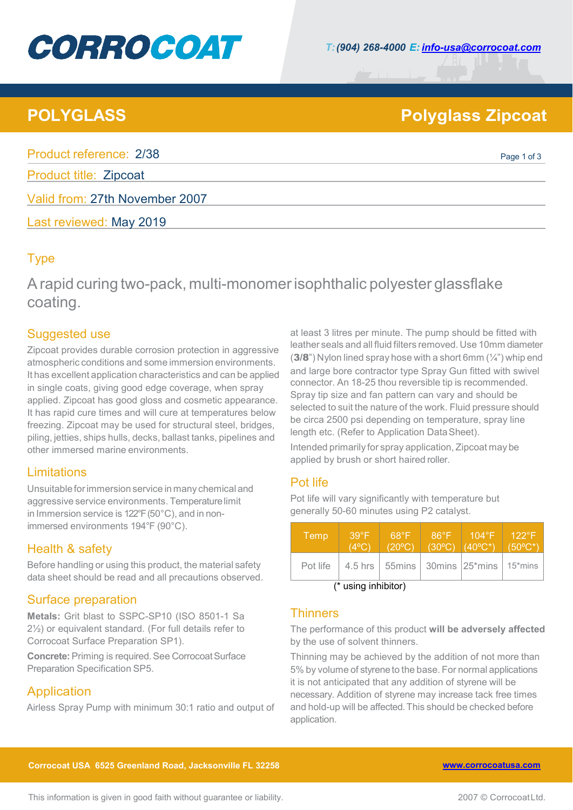# **CORROCOAT**

## **POLYGLASS Polyglass Zipcoat**

Product reference: 2/38 Product reference: 2/38

Product title: Zipcoat

Valid from: 27th November 2007

Last reviewed: May 2019

### Type

Arapid curing two-pack, multi-monomerisophthalic polyester glassflake coating.

#### Suggested use

Zipcoat provides durable corrosion protection in aggressive atmospheric conditions and some immersion environments. It has excellent application characteristics and can be applied in single coats, giving good edge coverage, when spray applied. Zipcoat has good gloss and cosmetic appearance. It has rapid cure times and will cure at temperatures below freezing. Zipcoat may be used for structural steel, bridges, piling, jetties, ships hulls, decks, ballast tanks, pipelines and other immersed marine environments.

### Limitations

Unsuitableforimmersion service in many chemical and aggressive service environments. Temperaturelimit in Immersion service is 122°F (50°C), and in nonimmersed environments 194°F (90°C).

### Health & safety

Before handling or using this product, the material safety data sheet should be read and all precautions observed.

### Surface preparation

**Metals:** Grit blast to SSPC-SP10 (ISO 8501-1 Sa 2½) or equivalent standard. (For full details refer to Corrocoat Surface Preparation SP1).

**Concrete:** Priming is required. See Corrocoat Surface Preparation Specification SP5.

### Application

Airless Spray Pump with minimum 30:1 ratio and output of

at least 3 litres per minute. The pump should be fitted with leather seals and all fluid filters removed. Use 10mm diameter  $(3/8)$ ") Nylon lined spray hose with a short 6mm  $(1/4)$ ") whip end and large bore contractor type Spray Gun fitted with swivel connector. An 18-25 thou reversible tip is recommended. Spray tip size and fan pattern can vary and should be selected to suit the nature of the work. Fluid pressure should be circa 2500 psi depending on temperature, spray line length etc. (Refer to Application DataSheet).

Intended primarily for spray application, Zipcoat may be applied by brush or short haired roller.

### Pot life

Pot life will vary significantly with temperature but generally 50-60 minutes using P2 catalyst.

| Temp     | $39^\circ F$<br>(4ºC) | $68^{\circ}F$<br>$(20^{\circ}C)$ | $86^{\circ}F$<br>$(30^{\circ}C)$ | $104^\circ$ F $^{\circ}$<br>$(40^{\circ}C^{*})$                         | $122^{\circ}F$<br>$(50^{\circ}$ C* |
|----------|-----------------------|----------------------------------|----------------------------------|-------------------------------------------------------------------------|------------------------------------|
| Pot life |                       |                                  |                                  | 4.5 hrs   55mins   30mins   25 <sup>*</sup> mins   15 <sup>*</sup> mins |                                    |
| $(*)$    |                       |                                  |                                  |                                                                         |                                    |

(\* using inhibitor)

#### **Thinners**

The performance of this product **will be adversely affected** by the use of solvent thinners.

Thinning may be achieved by the addition of not more than 5% by volume of styrene to the base. For normal applications it is not anticipated that any addition of styrene will be necessary. Addition of styrene may increase tack free times and hold-up will be affected.This should be checked before application.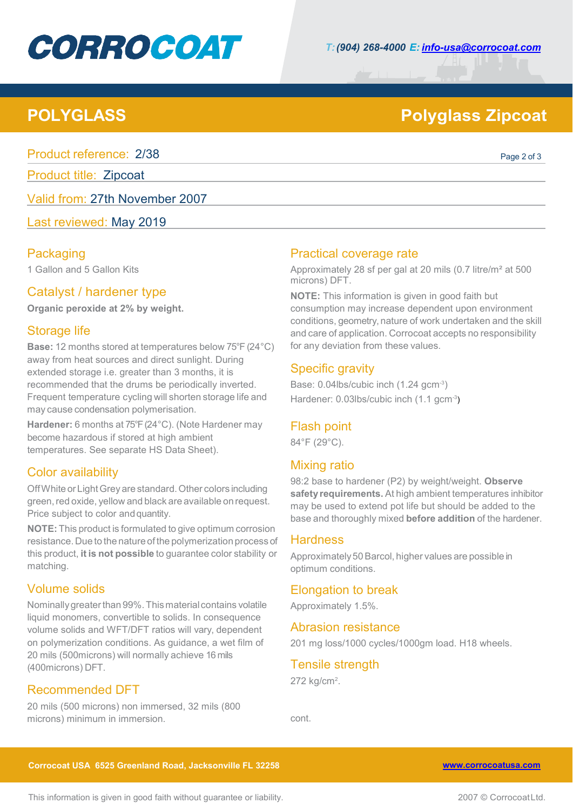# **CORROCOAT**

## **POLYGLASS Polyglass Zipcoat**

Product reference: 2/38 Product reference: 2/38

Product title: Zipcoat

Valid from: 27th November 2007

Last reviewed: May 2019

#### **Packaging**

1 Gallon and 5 Gallon Kits

#### Catalyst / hardener type

**Organic peroxide at 2% by weight.**

#### Storage life

**Base:** 12 months stored at temperatures below 75°F (24°C) away from heat sources and direct sunlight. During extended storage i.e. greater than 3 months, it is recommended that the drums be periodically inverted. Frequent temperature cycling will shorten storage life and may cause condensation polymerisation.

**Hardener:** 6 months at 75°F (24°C). (Note Hardener may become hazardous if stored at high ambient temperatures. See separate HS Data Sheet).

#### Color availability

Off White or Light Grey are standard. Other colors including green, red oxide, yellow and black are available on request. Price subject to color and quantity.

**NOTE:** This product is formulated to give optimum corrosion resistance. Due to the nature of the polymerization process of this product, **it is not possible** to guarantee color stability or matching.

#### Volume solids

Nominallygreaterthan 99%.This material contains volatile liquid monomers, convertible to solids. In consequence volume solids and WFT/DFT ratios will vary, dependent on polymerization conditions. As guidance, a wet film of 20 mils (500microns) will normally achieve 16 mils (400microns) DFT.

### Recommended DFT

20 mils (500 microns) non immersed, 32 mils (800 microns) minimum in immersion.

#### Practical coverage rate

Approximately 28 sf per gal at 20 mils (0.7 litre/m² at 500 microns) DFT.

**NOTE:** This information is given in good faith but consumption may increase dependent upon environment conditions, geometry, nature of work undertaken and the skill and care of application. Corrocoat accepts no responsibility for any deviation from these values.

#### Specific gravity

Base: 0.04lbs/cubic inch (1.24 gcm<sup>-3</sup>) Hardener: 0.03lbs/cubic inch (1.1 gcm<sup>-3</sup>)

#### Flash point

84°F (29°C).

#### Mixing ratio

98:2 base to hardener (P2) by weight/weight. **Observe safety requirements.** At high ambient temperatures inhibitor may be used to extend pot life but should be added to the base and thoroughly mixed **before addition** of the hardener.

#### **Hardness**

Approximately50Barcol, higher values are possible in optimum conditions.

#### Elongation to break

Approximately 1.5%.

#### Abrasion resistance

201 mg loss/1000 cycles/1000gm load. H18 wheels.

### Tensile strength

272 kg/cm<sup>2</sup>.

cont.